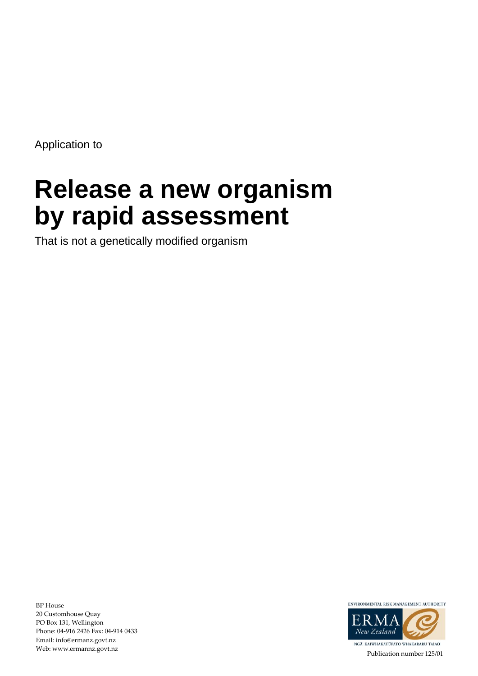Application to

# **Release a new organism by rapid assessment**

That is not a genetically modified organism

BP House 20 Customhouse Quay PO Box 131, Wellington Phone: 04-916 2426 Fax: 04-914 0433 Email: info@ermanz.govt.nz Web: www.ermannz.govt.nz



Publication number 125/01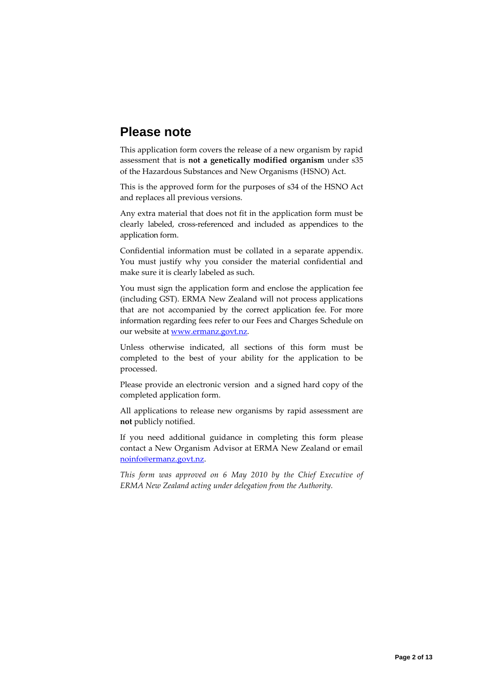## **Please note**

This application form covers the release of a new organism by rapid assessment that is **not a genetically modified organism** under s35 of the Hazardous Substances and New Organisms (HSNO) Act.

This is the approved form for the purposes of s34 of the HSNO Act and replaces all previous versions.

Any extra material that does not fit in the application form must be clearly labeled, cross-referenced and included as appendices to the application form.

Confidential information must be collated in a separate appendix. You must justify why you consider the material confidential and make sure it is clearly labeled as such.

You must sign the application form and enclose the application fee (including GST). ERMA New Zealand will not process applications that are not accompanied by the correct application fee. For more information regarding fees refer to our Fees and Charges Schedule on our website at [www.ermanz.govt.nz.](http://www.ermanz.govt.nz/)

Unless otherwise indicated, all sections of this form must be completed to the best of your ability for the application to be processed.

Please provide an electronic version and a signed hard copy of the completed application form.

All applications to release new organisms by rapid assessment are **not** publicly notified.

If you need additional guidance in completing this form please contact a New Organism Advisor at ERMA New Zealand or email [noinfo@ermanz.govt.nz.](mailto:noinfo@ermanz.govt.nz)

*This form was approved on 6 May 2010 by the Chief Executive of ERMA New Zealand acting under delegation from the Authority.*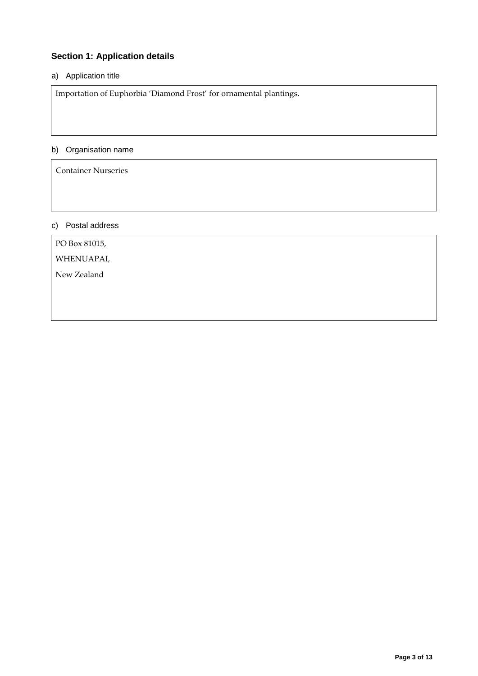## **Section 1: Application details**

## a) Application title

Importation of Euphorbia 'Diamond Frost' for ornamental plantings.

#### b) Organisation name

Container Nurseries

## c) Postal address

PO Box 81015,

WHENUAPAI,

New Zealand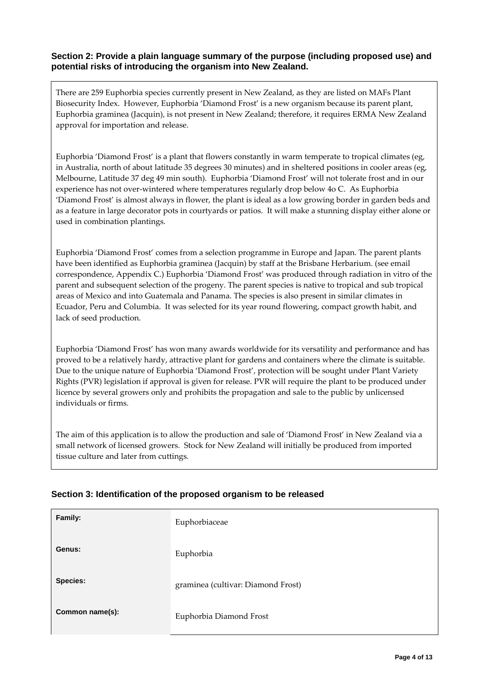### **Section 2: Provide a plain language summary of the purpose (including proposed use) and potential risks of introducing the organism into New Zealand.**

There are 259 Euphorbia species currently present in New Zealand, as they are listed on MAFs Plant Biosecurity Index. However, Euphorbia 'Diamond Frost' is a new organism because its parent plant, Euphorbia graminea (Jacquin), is not present in New Zealand; therefore, it requires ERMA New Zealand approval for importation and release.

Euphorbia 'Diamond Frost' is a plant that flowers constantly in warm temperate to tropical climates (eg, in Australia, north of about latitude 35 degrees 30 minutes) and in sheltered positions in cooler areas (eg, Melbourne, Latitude 37 deg 49 min south). Euphorbia 'Diamond Frost' will not tolerate frost and in our experience has not over-wintered where temperatures regularly drop below 4o C. As Euphorbia 'Diamond Frost' is almost always in flower, the plant is ideal as a low growing border in garden beds and as a feature in large decorator pots in courtyards or patios. It will make a stunning display either alone or used in combination plantings.

Euphorbia 'Diamond Frost' comes from a selection programme in Europe and Japan. The parent plants have been identified as Euphorbia graminea (Jacquin) by staff at the Brisbane Herbarium. (see email correspondence, Appendix C.) Euphorbia 'Diamond Frost' was produced through radiation in vitro of the parent and subsequent selection of the progeny. The parent species is native to tropical and sub tropical areas of Mexico and into Guatemala and Panama. The species is also present in similar climates in Ecuador, Peru and Columbia. It was selected for its year round flowering, compact growth habit, and lack of seed production.

Euphorbia 'Diamond Frost' has won many awards worldwide for its versatility and performance and has proved to be a relatively hardy, attractive plant for gardens and containers where the climate is suitable. Due to the unique nature of Euphorbia 'Diamond Frost', protection will be sought under Plant Variety Rights (PVR) legislation if approval is given for release. PVR will require the plant to be produced under licence by several growers only and prohibits the propagation and sale to the public by unlicensed individuals or firms.

The aim of this application is to allow the production and sale of 'Diamond Frost' in New Zealand via a small network of licensed growers. Stock for New Zealand will initially be produced from imported tissue culture and later from cuttings.

| Family:         | Euphorbiaceae                      |
|-----------------|------------------------------------|
| Genus:          | Euphorbia                          |
| <b>Species:</b> | graminea (cultivar: Diamond Frost) |
| Common name(s): | Euphorbia Diamond Frost            |

## **Section 3: Identification of the proposed organism to be released**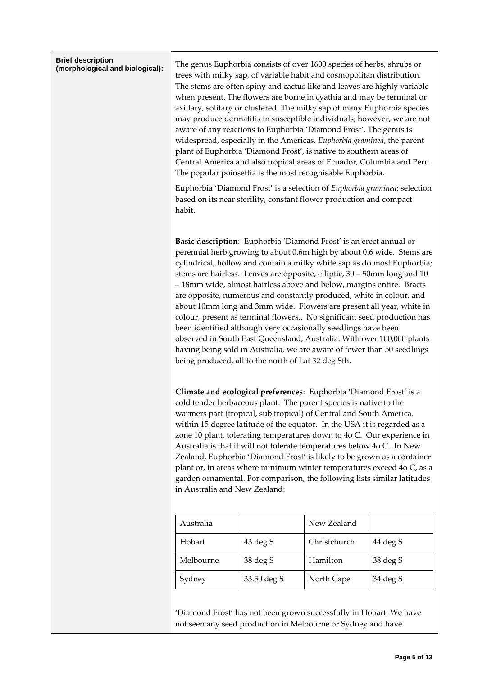| <b>Brief description</b><br>(morphological and biological): | The genus Euphorbia consists of over 1600 species of herbs, shrubs or<br>trees with milky sap, of variable habit and cosmopolitan distribution.<br>The stems are often spiny and cactus like and leaves are highly variable<br>when present. The flowers are borne in cyathia and may be terminal or<br>axillary, solitary or clustered. The milky sap of many Euphorbia species<br>may produce dermatitis in susceptible individuals; however, we are not<br>aware of any reactions to Euphorbia 'Diamond Frost'. The genus is<br>widespread, especially in the Americas. Euphorbia graminea, the parent<br>plant of Euphorbia 'Diamond Frost', is native to southern areas of<br>Central America and also tropical areas of Ecuador, Columbia and Peru.<br>The popular poinsettia is the most recognisable Euphorbia.<br>Euphorbia 'Diamond Frost' is a selection of Euphorbia graminea; selection<br>based on its near sterility, constant flower production and compact<br>habit. |             |              |          |
|-------------------------------------------------------------|---------------------------------------------------------------------------------------------------------------------------------------------------------------------------------------------------------------------------------------------------------------------------------------------------------------------------------------------------------------------------------------------------------------------------------------------------------------------------------------------------------------------------------------------------------------------------------------------------------------------------------------------------------------------------------------------------------------------------------------------------------------------------------------------------------------------------------------------------------------------------------------------------------------------------------------------------------------------------------------|-------------|--------------|----------|
|                                                             | Basic description: Euphorbia 'Diamond Frost' is an erect annual or<br>perennial herb growing to about 0.6m high by about 0.6 wide. Stems are<br>cylindrical, hollow and contain a milky white sap as do most Euphorbia;<br>stems are hairless. Leaves are opposite, elliptic, 30 - 50mm long and 10<br>- 18mm wide, almost hairless above and below, margins entire. Bracts<br>are opposite, numerous and constantly produced, white in colour, and<br>about 10mm long and 3mm wide. Flowers are present all year, white in<br>colour, present as terminal flowers No significant seed production has<br>been identified although very occasionally seedlings have been<br>observed in South East Queensland, Australia. With over 100,000 plants<br>having being sold in Australia, we are aware of fewer than 50 seedlings<br>being produced, all to the north of Lat 32 deg Sth.                                                                                                   |             |              |          |
|                                                             | Climate and ecological preferences: Euphorbia 'Diamond Frost' is a<br>cold tender herbaceous plant. The parent species is native to the<br>warmers part (tropical, sub tropical) of Central and South America,<br>within 15 degree latitude of the equator. In the USA it is regarded as a<br>zone 10 plant, tolerating temperatures down to 4o C. Our experience in<br>Australia is that it will not tolerate temperatures below 4o C. In New<br>Zealand, Euphorbia 'Diamond Frost' is likely to be grown as a container<br>plant or, in areas where minimum winter temperatures exceed 4o C, as a<br>garden ornamental. For comparison, the following lists similar latitudes<br>in Australia and New Zealand:                                                                                                                                                                                                                                                                      |             |              |          |
|                                                             | Australia                                                                                                                                                                                                                                                                                                                                                                                                                                                                                                                                                                                                                                                                                                                                                                                                                                                                                                                                                                             |             | New Zealand  |          |
|                                                             | Hobart                                                                                                                                                                                                                                                                                                                                                                                                                                                                                                                                                                                                                                                                                                                                                                                                                                                                                                                                                                                | 43 deg S    | Christchurch | 44 deg S |
|                                                             | Melbourne                                                                                                                                                                                                                                                                                                                                                                                                                                                                                                                                                                                                                                                                                                                                                                                                                                                                                                                                                                             | 38 deg S    | Hamilton     | 38 deg S |
|                                                             | Sydney                                                                                                                                                                                                                                                                                                                                                                                                                                                                                                                                                                                                                                                                                                                                                                                                                                                                                                                                                                                | 33.50 deg S | North Cape   | 34 deg S |

'Diamond Frost' has not been grown successfully in Hobart. We have not seen any seed production in Melbourne or Sydney and have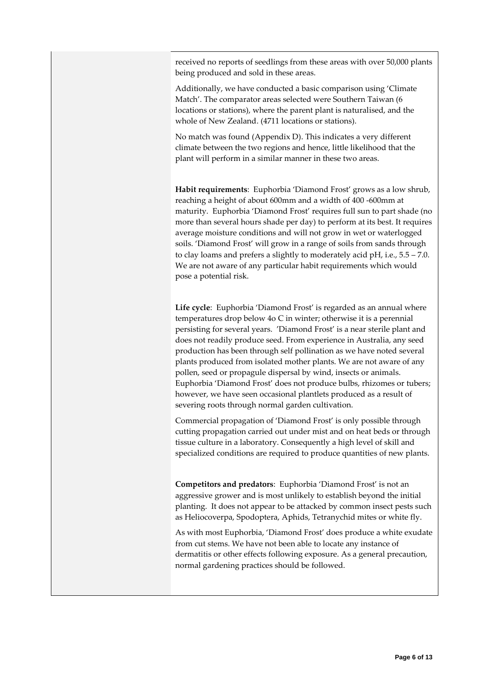received no reports of seedlings from these areas with over 50,000 plants being produced and sold in these areas.

Additionally, we have conducted a basic comparison using 'Climate Match'. The comparator areas selected were Southern Taiwan (6 locations or stations), where the parent plant is naturalised, and the whole of New Zealand. (4711 locations or stations).

No match was found (Appendix D). This indicates a very different climate between the two regions and hence, little likelihood that the plant will perform in a similar manner in these two areas.

**Habit requirements**: Euphorbia 'Diamond Frost' grows as a low shrub, reaching a height of about 600mm and a width of 400 -600mm at maturity. Euphorbia 'Diamond Frost' requires full sun to part shade (no more than several hours shade per day) to perform at its best. It requires average moisture conditions and will not grow in wet or waterlogged soils. 'Diamond Frost' will grow in a range of soils from sands through to clay loams and prefers a slightly to moderately acid pH, i.e., 5.5 – 7.0. We are not aware of any particular habit requirements which would pose a potential risk.

**Life cycle**: Euphorbia 'Diamond Frost' is regarded as an annual where temperatures drop below 4o C in winter; otherwise it is a perennial persisting for several years. 'Diamond Frost' is a near sterile plant and does not readily produce seed. From experience in Australia, any seed production has been through self pollination as we have noted several plants produced from isolated mother plants. We are not aware of any pollen, seed or propagule dispersal by wind, insects or animals. Euphorbia 'Diamond Frost' does not produce bulbs, rhizomes or tubers; however, we have seen occasional plantlets produced as a result of severing roots through normal garden cultivation.

Commercial propagation of 'Diamond Frost' is only possible through cutting propagation carried out under mist and on heat beds or through tissue culture in a laboratory. Consequently a high level of skill and specialized conditions are required to produce quantities of new plants.

**Competitors and predators**: Euphorbia 'Diamond Frost' is not an aggressive grower and is most unlikely to establish beyond the initial planting. It does not appear to be attacked by common insect pests such as Heliocoverpa, Spodoptera, Aphids, Tetranychid mites or white fly.

As with most Euphorbia, 'Diamond Frost' does produce a white exudate from cut stems. We have not been able to locate any instance of dermatitis or other effects following exposure. As a general precaution, normal gardening practices should be followed.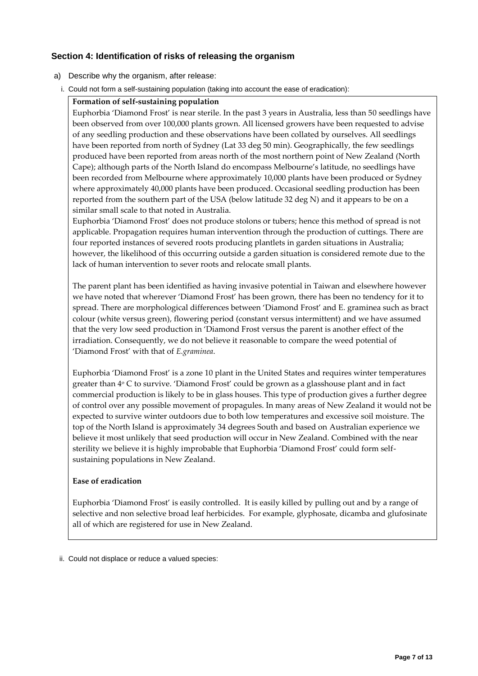## **Section 4: Identification of risks of releasing the organism**

- a) Describe why the organism, after release:
- i. Could not form a self-sustaining population (taking into account the ease of eradication):

#### **Formation of self-sustaining population**

Euphorbia 'Diamond Frost' is near sterile. In the past 3 years in Australia, less than 50 seedlings have been observed from over 100,000 plants grown. All licensed growers have been requested to advise of any seedling production and these observations have been collated by ourselves. All seedlings have been reported from north of Sydney (Lat 33 deg 50 min). Geographically, the few seedlings produced have been reported from areas north of the most northern point of New Zealand (North Cape); although parts of the North Island do encompass Melbourne's latitude, no seedlings have been recorded from Melbourne where approximately 10,000 plants have been produced or Sydney where approximately 40,000 plants have been produced. Occasional seedling production has been reported from the southern part of the USA (below latitude 32 deg N) and it appears to be on a similar small scale to that noted in Australia.

Euphorbia 'Diamond Frost' does not produce stolons or tubers; hence this method of spread is not applicable. Propagation requires human intervention through the production of cuttings. There are four reported instances of severed roots producing plantlets in garden situations in Australia; however, the likelihood of this occurring outside a garden situation is considered remote due to the lack of human intervention to sever roots and relocate small plants.

The parent plant has been identified as having invasive potential in Taiwan and elsewhere however we have noted that wherever 'Diamond Frost' has been grown, there has been no tendency for it to spread. There are morphological differences between 'Diamond Frost' and E. graminea such as bract colour (white versus green), flowering period (constant versus intermittent) and we have assumed that the very low seed production in 'Diamond Frost versus the parent is another effect of the irradiation. Consequently, we do not believe it reasonable to compare the weed potential of 'Diamond Frost' with that of *E.graminea*.

Euphorbia 'Diamond Frost' is a zone 10 plant in the United States and requires winter temperatures greater than 4<sup>o</sup> C to survive. 'Diamond Frost' could be grown as a glasshouse plant and in fact commercial production is likely to be in glass houses. This type of production gives a further degree of control over any possible movement of propagules. In many areas of New Zealand it would not be expected to survive winter outdoors due to both low temperatures and excessive soil moisture. The top of the North Island is approximately 34 degrees South and based on Australian experience we believe it most unlikely that seed production will occur in New Zealand. Combined with the near sterility we believe it is highly improbable that Euphorbia 'Diamond Frost' could form selfsustaining populations in New Zealand.

#### **Ease of eradication**

Euphorbia 'Diamond Frost' is easily controlled. It is easily killed by pulling out and by a range of selective and non selective broad leaf herbicides. For example, glyphosate, dicamba and glufosinate all of which are registered for use in New Zealand.

ii. Could not displace or reduce a valued species: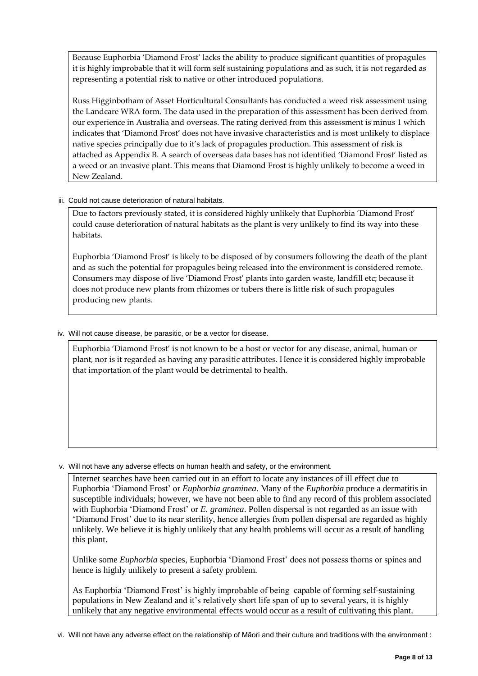Because Euphorbia 'Diamond Frost' lacks the ability to produce significant quantities of propagules it is highly improbable that it will form self sustaining populations and as such, it is not regarded as representing a potential risk to native or other introduced populations.

Russ Higginbotham of Asset Horticultural Consultants has conducted a weed risk assessment using the Landcare WRA form. The data used in the preparation of this assessment has been derived from our experience in Australia and overseas. The rating derived from this assessment is minus 1 which indicates that 'Diamond Frost' does not have invasive characteristics and is most unlikely to displace native species principally due to it's lack of propagules production. This assessment of risk is attached as Appendix B. A search of overseas data bases has not identified 'Diamond Frost' listed as a weed or an invasive plant. This means that Diamond Frost is highly unlikely to become a weed in New Zealand.

#### iii. Could not cause deterioration of natural habitats.

Due to factors previously stated, it is considered highly unlikely that Euphorbia 'Diamond Frost' could cause deterioration of natural habitats as the plant is very unlikely to find its way into these habitats.

Euphorbia 'Diamond Frost' is likely to be disposed of by consumers following the death of the plant and as such the potential for propagules being released into the environment is considered remote. Consumers may dispose of live 'Diamond Frost' plants into garden waste, landfill etc; because it does not produce new plants from rhizomes or tubers there is little risk of such propagules producing new plants.

#### iv. Will not cause disease, be parasitic, or be a vector for disease.

Euphorbia 'Diamond Frost' is not known to be a host or vector for any disease, animal, human or plant, nor is it regarded as having any parasitic attributes. Hence it is considered highly improbable that importation of the plant would be detrimental to health.

v. Will not have any adverse effects on human health and safety, or the environment.

Internet searches have been carried out in an effort to locate any instances of ill effect due to Euphorbia 'Diamond Frost' or *Euphorbia graminea*. Many of the *Euphorbia* produce a dermatitis in susceptible individuals; however, we have not been able to find any record of this problem associated with Euphorbia 'Diamond Frost' or *E. graminea*. Pollen dispersal is not regarded as an issue with 'Diamond Frost' due to its near sterility, hence allergies from pollen dispersal are regarded as highly unlikely. We believe it is highly unlikely that any health problems will occur as a result of handling this plant.

Unlike some *Euphorbia* species, Euphorbia 'Diamond Frost' does not possess thorns or spines and hence is highly unlikely to present a safety problem.

As Euphorbia 'Diamond Frost' is highly improbable of being capable of forming self-sustaining populations in New Zealand and it's relatively short life span of up to several years, it is highly unlikely that any negative environmental effects would occur as a result of cultivating this plant.

vi. Will not have any adverse effect on the relationship of Māori and their culture and traditions with the environment :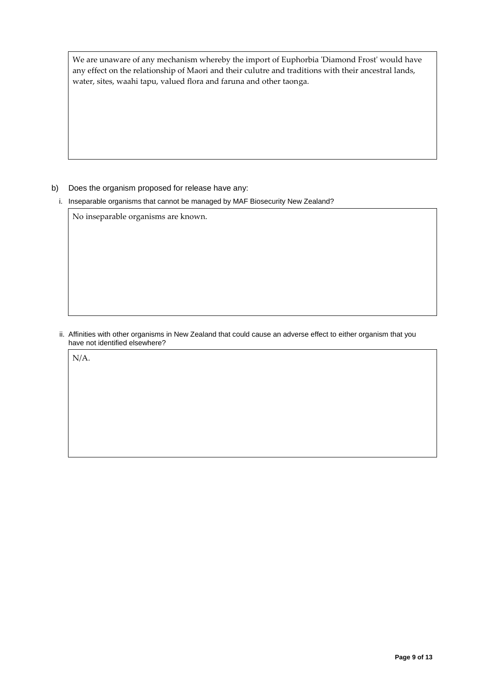We are unaware of any mechanism whereby the import of Euphorbia 'Diamond Frost' would have any effect on the relationship of Maori and their culutre and traditions with their ancestral lands, water, sites, waahi tapu, valued flora and faruna and other taonga.

#### b) Does the organism proposed for release have any:

i. Inseparable organisms that cannot be managed by MAF Biosecurity New Zealand?

No inseparable organisms are known.

ii. Affinities with other organisms in New Zealand that could cause an adverse effect to either organism that you have not identified elsewhere?

N/A.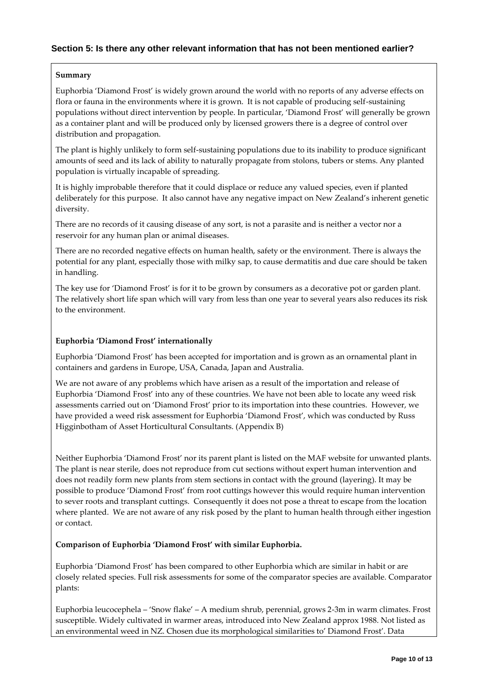#### **Summary**

Euphorbia 'Diamond Frost' is widely grown around the world with no reports of any adverse effects on flora or fauna in the environments where it is grown. It is not capable of producing self-sustaining populations without direct intervention by people. In particular, 'Diamond Frost' will generally be grown as a container plant and will be produced only by licensed growers there is a degree of control over distribution and propagation.

The plant is highly unlikely to form self-sustaining populations due to its inability to produce significant amounts of seed and its lack of ability to naturally propagate from stolons, tubers or stems. Any planted population is virtually incapable of spreading.

It is highly improbable therefore that it could displace or reduce any valued species, even if planted deliberately for this purpose. It also cannot have any negative impact on New Zealand's inherent genetic diversity.

There are no records of it causing disease of any sort, is not a parasite and is neither a vector nor a reservoir for any human plan or animal diseases.

There are no recorded negative effects on human health, safety or the environment. There is always the potential for any plant, especially those with milky sap, to cause dermatitis and due care should be taken in handling.

The key use for 'Diamond Frost' is for it to be grown by consumers as a decorative pot or garden plant. The relatively short life span which will vary from less than one year to several years also reduces its risk to the environment.

### **Euphorbia 'Diamond Frost' internationally**

Euphorbia 'Diamond Frost' has been accepted for importation and is grown as an ornamental plant in containers and gardens in Europe, USA, Canada, Japan and Australia.

We are not aware of any problems which have arisen as a result of the importation and release of Euphorbia 'Diamond Frost' into any of these countries. We have not been able to locate any weed risk assessments carried out on 'Diamond Frost' prior to its importation into these countries. However, we have provided a weed risk assessment for Euphorbia 'Diamond Frost', which was conducted by Russ Higginbotham of Asset Horticultural Consultants. (Appendix B)

Neither Euphorbia 'Diamond Frost' nor its parent plant is listed on the MAF website for unwanted plants. The plant is near sterile, does not reproduce from cut sections without expert human intervention and does not readily form new plants from stem sections in contact with the ground (layering). It may be possible to produce 'Diamond Frost' from root cuttings however this would require human intervention to sever roots and transplant cuttings. Consequently it does not pose a threat to escape from the location where planted. We are not aware of any risk posed by the plant to human health through either ingestion or contact.

**Comparison of Euphorbia 'Diamond Frost' with similar Euphorbia.**

Euphorbia 'Diamond Frost' has been compared to other Euphorbia which are similar in habit or are closely related species. Full risk assessments for some of the comparator species are available. Comparator plants:

Euphorbia leucocephela – 'Snow flake' – A medium shrub, perennial, grows 2-3m in warm climates. Frost susceptible. Widely cultivated in warmer areas, introduced into New Zealand approx 1988. Not listed as an environmental weed in NZ. Chosen due its morphological similarities to' Diamond Frost'. Data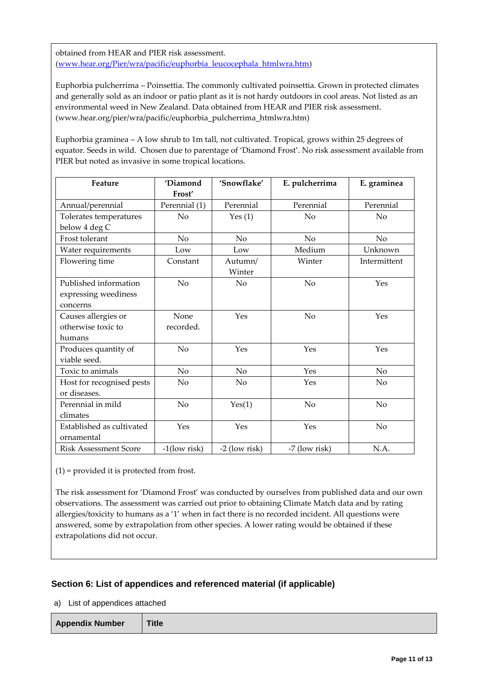obtained from HEAR and PIER risk assessment. [\(www.hear.org/Pier/wra/pacific/euphorbia\\_leucocephala\\_htmlwra.htm\)](http://www.hear.org/Pier/wra/pacific/euphorbia_leucocephala_htmlwra.htm)

Euphorbia pulcherrima – Poinsettia. The commonly cultivated poinsettia. Grown in protected climates and generally sold as an indoor or patio plant as it is not hardy outdoors in cool areas. Not listed as an environmental weed in New Zealand. Data obtained from HEAR and PIER risk assessment. (www.hear.org/pier/wra/pacific/euphorbia\_pulcherrima\_htmlwra.htm)

Euphorbia graminea – A low shrub to 1m tall, not cultivated. Tropical, grows within 25 degrees of equator. Seeds in wild. Chosen due to parentage of 'Diamond Frost'. No risk assessment available from PIER but noted as invasive in some tropical locations.

| Feature                      | 'Diamond        | 'Snowflake'   | E. pulcherrima | E. graminea    |
|------------------------------|-----------------|---------------|----------------|----------------|
|                              | Frost'          |               |                |                |
| Annual/perennial             | Perennial (1)   | Perennial     | Perennial      | Perennial      |
| Tolerates temperatures       | No              | Yes $(1)$     | N <sub>o</sub> | No             |
| below 4 deg C                |                 |               |                |                |
| Frost tolerant               | No.             | No            | No             | No             |
| Water requirements           | Low             | Low           | Medium         | Unknown        |
| Flowering time               | Constant        | Autumn/       | Winter         | Intermittent   |
|                              |                 | Winter        |                |                |
| Published information        | No              | No            | N <sub>o</sub> | Yes            |
| expressing weediness         |                 |               |                |                |
| concerns                     |                 |               |                |                |
| Causes allergies or          | None            | Yes           | No             | Yes            |
| otherwise toxic to           | recorded.       |               |                |                |
| humans                       |                 |               |                |                |
| Produces quantity of         | No              | Yes           | Yes            | Yes            |
| viable seed.                 |                 |               |                |                |
| Toxic to animals             | No              | No            | Yes            | N <sub>o</sub> |
| Host for recognised pests    | No              | No            | Yes            | N <sub>o</sub> |
| or diseases.                 |                 |               |                |                |
| Perennial in mild            | No              | Yes(1)        | No             | N <sub>o</sub> |
| climates                     |                 |               |                |                |
| Established as cultivated    | Yes             | Yes           | Yes            | N <sub>o</sub> |
| ornamental                   |                 |               |                |                |
| <b>Risk Assessment Score</b> | $-1$ (low risk) | -2 (low risk) | -7 (low risk)  | N.A.           |

(1) = provided it is protected from frost.

The risk assessment for 'Diamond Frost' was conducted by ourselves from published data and our own observations. The assessment was carried out prior to obtaining Climate Match data and by rating allergies/toxicity to humans as a '1' when in fact there is no recorded incident. All questions were answered, some by extrapolation from other species. A lower rating would be obtained if these extrapolations did not occur.

## **Section 6: List of appendices and referenced material (if applicable)**

a) List of appendices attached

| <b>Appendix Number</b> | <b>Title</b> |
|------------------------|--------------|
|------------------------|--------------|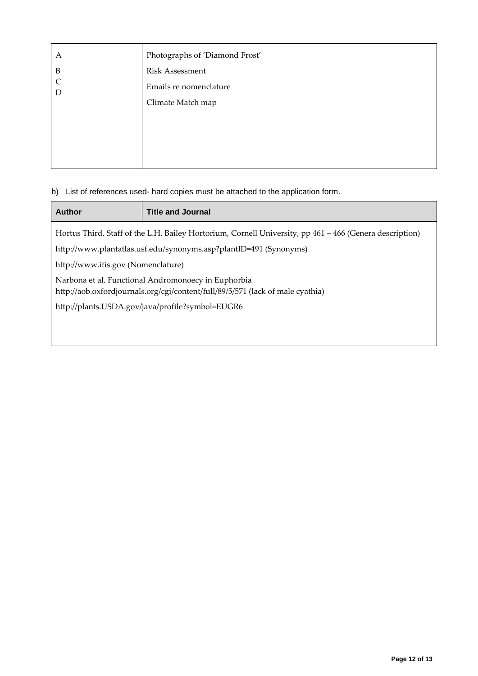| Α                 | Photographs of 'Diamond Frost' |
|-------------------|--------------------------------|
| $\mathbf B$       | <b>Risk Assessment</b>         |
| $\mathsf{C}$<br>D | Emails re nomenclature         |
|                   | Climate Match map              |
|                   |                                |
|                   |                                |
|                   |                                |
|                   |                                |

## b) List of references used- hard copies must be attached to the application form.

| <b>Author</b>                                                                                                                         | <b>Title and Journal</b> |
|---------------------------------------------------------------------------------------------------------------------------------------|--------------------------|
| Hortus Third, Staff of the L.H. Bailey Hortorium, Cornell University, pp 461 - 466 (Genera description)                               |                          |
| http://www.plantatlas.usf.edu/synonyms.asp?plantID=491 (Synonyms)                                                                     |                          |
| http://www.itis.gov (Nomenclature)                                                                                                    |                          |
| Narbona et al, Functional Andromonoecy in Euphorbia<br>http://aob.oxfordjournals.org/cgi/content/full/89/5/571 (lack of male cyathia) |                          |
| http://plants.USDA.gov/java/profile?symbol=EUGR6                                                                                      |                          |
|                                                                                                                                       |                          |
|                                                                                                                                       |                          |